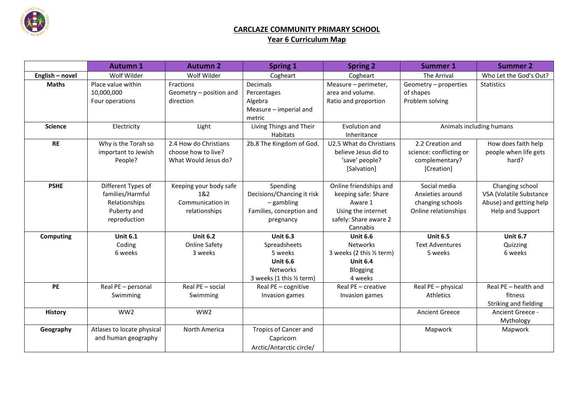

## **CARCLAZE COMMUNITY PRIMARY SCHOOL Year 6 Curriculum Map**

|                  | <b>Autumn 1</b>            | <b>Autumn 2</b>         | <b>Spring 1</b>              | <b>Spring 2</b>             | <b>Summer 1</b>          | <b>Summer 2</b>         |
|------------------|----------------------------|-------------------------|------------------------------|-----------------------------|--------------------------|-------------------------|
| English - novel  | Wolf Wilder                | Wolf Wilder             | Cogheart                     | Cogheart                    | The Arrival              | Who Let the God's Out?  |
| <b>Maths</b>     | Place value within         | Fractions               | Decimals                     | Measure - perimeter,        | Geometry - properties    | <b>Statistics</b>       |
|                  | 10,000,000                 | Geometry - position and | Percentages                  | area and volume.            | of shapes                |                         |
|                  | Four operations            | direction               | Algebra                      | Ratio and proportion        | Problem solving          |                         |
|                  |                            |                         | Measure - imperial and       |                             |                          |                         |
|                  |                            |                         | metric                       |                             |                          |                         |
| <b>Science</b>   | Electricity                | Light                   | Living Things and Their      | Evolution and               | Animals including humans |                         |
|                  |                            |                         | <b>Habitats</b>              | Inheritance                 |                          |                         |
| <b>RE</b>        | Why is the Torah so        | 2.4 How do Christians   | 2b.8 The Kingdom of God.     | U2.5 What do Christians     | 2.2 Creation and         | How does faith help     |
|                  | important to Jewish        | choose how to live?     |                              | believe Jesus did to        | science: conflicting or  | people when life gets   |
|                  | People?                    | What Would Jesus do?    |                              | 'save' people?              | complementary?           | hard?                   |
|                  |                            |                         |                              | [Salvation]                 | [Creation]               |                         |
|                  |                            |                         |                              |                             |                          |                         |
| <b>PSHE</b>      | Different Types of         | Keeping your body safe  | Spending                     | Online friendships and      | Social media             | Changing school         |
|                  | families/Harmful           | 1&2                     | Decisions/Chancing it risk   | keeping safe: Share         | Anxieties around         | VSA (Volatile Substance |
|                  | Relationships              | Communication in        | $-$ gambling                 | Aware 1                     | changing schools         | Abuse) and getting help |
|                  | Puberty and                | relationships           | Families, conception and     | Using the internet          | Online relationships     | Help and Support        |
|                  | reproduction               |                         | pregnancy                    | safely: Share aware 2       |                          |                         |
|                  | <b>Unit 6.1</b>            | <b>Unit 6.2</b>         | <b>Unit 6.3</b>              | Cannabis<br><b>Unit 6.6</b> | <b>Unit 6.5</b>          | <b>Unit 6.7</b>         |
| <b>Computing</b> | Coding                     | <b>Online Safety</b>    | Spreadsheets                 | <b>Networks</b>             | <b>Text Adventures</b>   | Quizzing                |
|                  | 6 weeks                    | 3 weeks                 | 5 weeks                      | 3 weeks (2 this 1/2 term)   | 5 weeks                  | 6 weeks                 |
|                  |                            |                         | <b>Unit 6.6</b>              | <b>Unit 6.4</b>             |                          |                         |
|                  |                            |                         | <b>Networks</b>              | Blogging                    |                          |                         |
|                  |                            |                         | 3 weeks (1 this 1/2 term)    | 4 weeks                     |                          |                         |
| PE               | Real PE - personal         | Real PE - social        | Real PE - cognitive          | Real PE - creative          | Real PE - physical       | Real PE - health and    |
|                  | Swimming                   | Swimming                | Invasion games               | Invasion games              | Athletics                | fitness                 |
|                  |                            |                         |                              |                             |                          | Striking and fielding   |
| <b>History</b>   | WW <sub>2</sub>            | WW2                     |                              |                             | <b>Ancient Greece</b>    | Ancient Greece -        |
|                  |                            |                         |                              |                             |                          | Mythology               |
| Geography        | Atlases to locate physical | North America           | <b>Tropics of Cancer and</b> |                             | Mapwork                  | Mapwork                 |
|                  | and human geography        |                         | Capricorn                    |                             |                          |                         |
|                  |                            |                         | Arctic/Antarctic circle/     |                             |                          |                         |